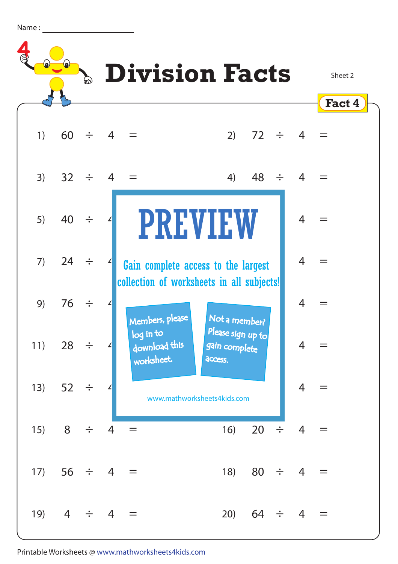